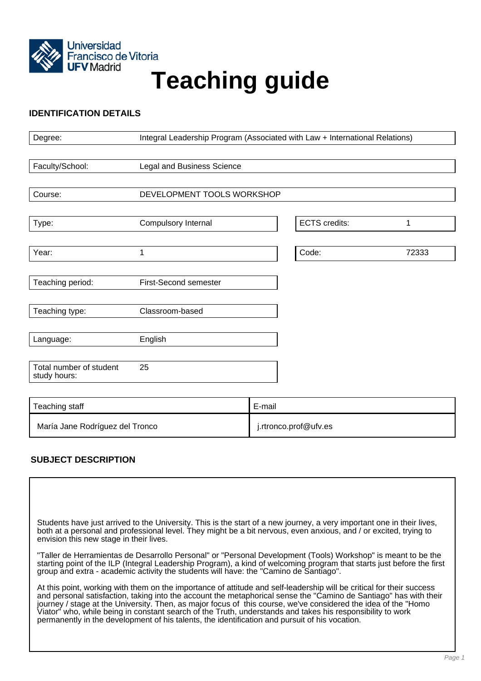

# **Teaching guide**

## **IDENTIFICATION DETAILS**

| Degree:                                 | Integral Leadership Program (Associated with Law + International Relations) |        |                      |       |
|-----------------------------------------|-----------------------------------------------------------------------------|--------|----------------------|-------|
|                                         |                                                                             |        |                      |       |
| Faculty/School:                         | Legal and Business Science                                                  |        |                      |       |
|                                         |                                                                             |        |                      |       |
| Course:                                 | DEVELOPMENT TOOLS WORKSHOP                                                  |        |                      |       |
|                                         |                                                                             |        |                      |       |
| Type:                                   | Compulsory Internal                                                         |        | <b>ECTS</b> credits: | 1     |
|                                         |                                                                             |        |                      |       |
| Year:                                   | 1                                                                           |        | Code:                | 72333 |
|                                         |                                                                             |        |                      |       |
| Teaching period:                        | First-Second semester                                                       |        |                      |       |
|                                         |                                                                             |        |                      |       |
| Teaching type:                          | Classroom-based                                                             |        |                      |       |
|                                         |                                                                             |        |                      |       |
| Language:                               | English                                                                     |        |                      |       |
|                                         |                                                                             |        |                      |       |
| Total number of student<br>study hours: | 25                                                                          |        |                      |       |
|                                         |                                                                             |        |                      |       |
|                                         |                                                                             |        |                      |       |
| Teaching staff                          |                                                                             | E-mail |                      |       |

# **SUBJECT DESCRIPTION**

Students have just arrived to the University. This is the start of a new journey, a very important one in their lives, both at a personal and professional level. They might be a bit nervous, even anxious, and / or excited, trying to envision this new stage in their lives.

María Jane Rodríguez del Tronco **inter alla contra del termino del termino del i**.rtronco.prof@ufv.es

"Taller de Herramientas de Desarrollo Personal" or "Personal Development (Tools) Workshop" is meant to be the starting point of the ILP (Integral Leadership Program), a kind of welcoming program that starts just before the first group and extra - academic activity the students will have: the "Camino de Santiago".

At this point, working with them on the importance of attitude and self-leadership will be critical for their success and personal satisfaction, taking into the account the metaphorical sense the "Camino de Santiago" has with their journey / stage at the University. Then, as major focus of this course, we've considered the idea of the "Homo Viator" who, while being in constant search of the Truth, understands and takes his responsibility to work permanently in the development of his talents, the identification and pursuit of his vocation.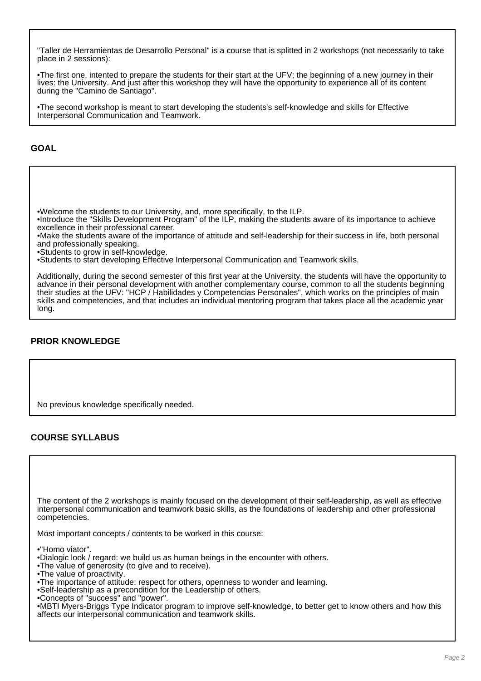"Taller de Herramientas de Desarrollo Personal" is a course that is splitted in 2 workshops (not necessarily to take place in 2 sessions):

•The first one, intented to prepare the students for their start at the UFV; the beginning of a new journey in their lives: the University. And just after this workshop they will have the opportunity to experience all of its content during the "Camino de Santiago".

•The second workshop is meant to start developing the students's self-knowledge and skills for Effective Interpersonal Communication and Teamwork.

## **GOAL**

•Welcome the students to our University, and, more specifically, to the ILP.

•Introduce the "Skills Development Program" of the ILP, making the students aware of its importance to achieve excellence in their professional career.

•Make the students aware of the importance of attitude and self-leadership for their success in life, both personal and professionally speaking.

•Students to grow in self-knowledge.

•Students to start developing Effective Interpersonal Communication and Teamwork skills.

Additionally, during the second semester of this first year at the University, the students will have the opportunity to advance in their personal development with another complementary course, common to all the students beginning their studies at the UFV: "HCP / Habilidades y Competencias Personales", which works on the principles of main skills and competencies, and that includes an individual mentoring program that takes place all the academic year long.

# **PRIOR KNOWLEDGE**

No previous knowledge specifically needed.

# **COURSE SYLLABUS**

The content of the 2 workshops is mainly focused on the development of their self-leadership, as well as effective interpersonal communication and teamwork basic skills, as the foundations of leadership and other professional competencies.

Most important concepts / contents to be worked in this course:

•"Homo viator".

- •Dialogic look / regard: we build us as human beings in the encounter with others.
- •The value of generosity (to give and to receive).
- •The value of proactivity.
- •The importance of attitude: respect for others, openness to wonder and learning.
- •Self-leadership as a precondition for the Leadership of others.
- •Concepts of "success" and "power".

•MBTI Myers-Briggs Type Indicator program to improve self-knowledge, to better get to know others and how this affects our interpersonal communication and teamwork skills.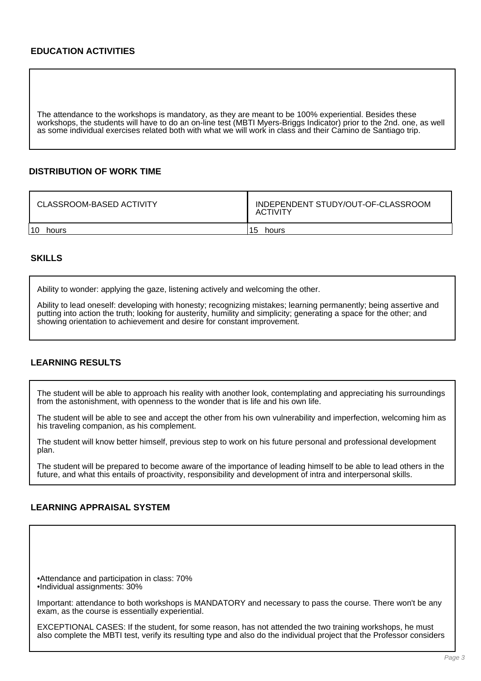## **EDUCATION ACTIVITIES**

The attendance to the workshops is mandatory, as they are meant to be 100% experiential. Besides these workshops, the students will have to do an on-line test (MBTI Myers-Briggs Indicator) prior to the 2nd. one, as well as some individual exercises related both with what we will work in class and their Camino de Santiago trip.

#### **DISTRIBUTION OF WORK TIME**

| CLASSROOM-BASED ACTIVITY | INDEPENDENT STUDY/OUT-OF-CLASSROOM<br><b>ACTIVITY</b> |  |  |
|--------------------------|-------------------------------------------------------|--|--|
| 10                       | 15                                                    |  |  |
| hours                    | hours                                                 |  |  |

#### **SKILLS**

Ability to wonder: applying the gaze, listening actively and welcoming the other.

Ability to lead oneself: developing with honesty; recognizing mistakes; learning permanently; being assertive and putting into action the truth; looking for austerity, humility and simplicity; generating a space for the other; and showing orientation to achievement and desire for constant improvement.

## **LEARNING RESULTS**

The student will be able to approach his reality with another look, contemplating and appreciating his surroundings from the astonishment, with openness to the wonder that is life and his own life.

The student will be able to see and accept the other from his own vulnerability and imperfection, welcoming him as his traveling companion, as his complement.

The student will know better himself, previous step to work on his future personal and professional development plan.

The student will be prepared to become aware of the importance of leading himself to be able to lead others in the future, and what this entails of proactivity, responsibility and development of intra and interpersonal skills.

## **LEARNING APPRAISAL SYSTEM**

•Attendance and participation in class: 70% •Individual assignments: 30%

Important: attendance to both workshops is MANDATORY and necessary to pass the course. There won't be any exam, as the course is essentially experiential.

EXCEPTIONAL CASES: If the student, for some reason, has not attended the two training workshops, he must also complete the MBTI test, verify its resulting type and also do the individual project that the Professor considers